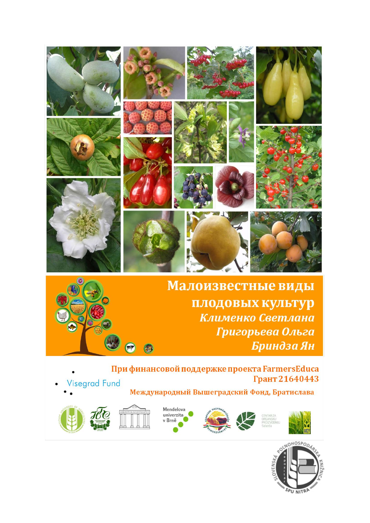

Малоизвестные виды плодовых культур Клименко Светлана Григорьева Ольга Бриндза Ян

При финансовой поддержке проекта FarmersEduca Грант 21640443 **Visegrad Fund** 

Международный Вышеградский Фонд, Братислава





v Brně

63















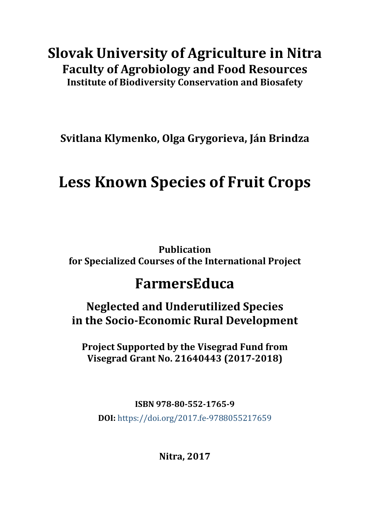## **Slovak University of Agriculture in Nitra Faculty of Agrobiology and Food Resources Institute of Biodiversity Conservation and Biosafety**

**Svitlana Klymenko, Olga Grygorieva, Ján Brindza**

# **Less Known Species of Fruit Crops**

**Publication for Specialized Courses of the International Project**

## **FarmersEduca**

**Neglected and Underutilized Species in the Socio-Economic Rural Development**

**Project Supported by the Visegrad Fund from Visegrad Grant No. 21640443 (2017-2018)**

**ISBN 978-80-552-1765-9** 

**DOI:** <https://doi.org/2017.fe-9788055217659>

**Nitra, 2017**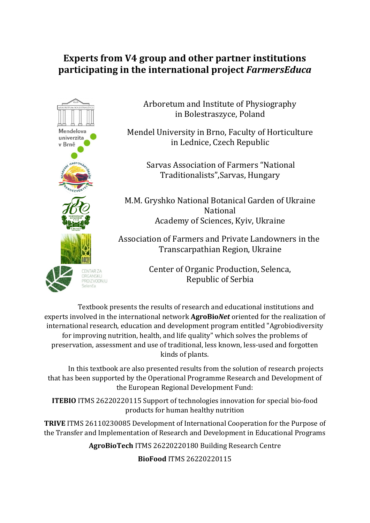### **Experts from V4 group and other partner institutions participating in the international project** *FarmersEduca*



Arboretum and Institute of Physiography in Bolestraszyce, Poland

Mendel University in Brno, Faculty of Horticulture in Lednice, Czech Republic

> Sarvas Association of Farmers "National Traditionalists",Sarvas, Hungary

M.M. Gryshko National Botanical Garden of Ukraine National Academy of Sciences, Kyiv, Ukraine

Association of Farmers and Private Landowners in the Transcarpathian Region, Ukraine

> Center of Organic Production, Selenca, Republic of Serbia

Textbook presents the results of research and educational institutions and experts involved in the international network **AgroBio***Net* oriented for the realization of international research, education and development program entitled "Agrobiodiversity for improving nutrition, health, and life quality" which solves the problems of preservation, assessment and use of traditional, less known, less-used and forgotten kinds of plants.

In this textbook are also presented results from the solution of research projects that has been supported by the Operational Programme Research and Development of the European Regional Development Fund:

**ITEBIO** ITMS 26220220115 Support of technologies innovation for special bio-food products for human healthy nutrition

**TRIVE** ITMS 26110230085 Development of International Cooperation for the Purpose of the Transfer and Implementation of Research and Development in Educational Programs

**AgroBioTech** ITMS 26220220180 Building Research Centre

**BioFood** ITMS 26220220115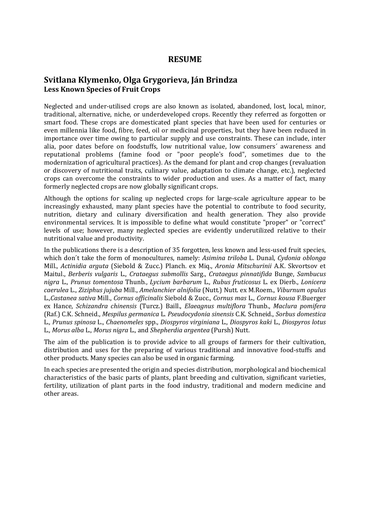#### **RESUME**

#### **Svitlana Klymenko, Olga Grygorieva, Ján Brindza Less Known Species of Fruit Crops**

Neglected and under-utilised crops are also known as isolated, abandoned, lost, local, minor, traditional, alternative, niche, or underdeveloped crops. Recently they referred as forgotten or smart food. These crops are domesticated plant species that have been used for centuries or even millennia like food, fibre, feed, oil or medicinal properties, but they have been reduced in importance over time owing to particular supply and use constraints. These can include, inter alia, poor dates before on foodstuffs, low nutritional value, low consumers´ awareness and reputational problems (famine food or "poor people's food", sometimes due to the modernization of agricultural practices). As the demand for plant and crop changes (revaluation or discovery of nutritional traits, culinary value, adaptation to climate change, etc.), neglected crops can overcome the constraints to wider production and uses. As a matter of fact, many formerly neglected crops are now globally significant crops.

Although the options for scaling up neglected crops for large-scale agriculture appear to be increasingly exhausted, many plant species have the potential to contribute to food security, nutrition, dietary and culinary diversification and health generation. They also provide environmental services. It is impossible to define what would constitute "proper" or "correct" levels of use; however, many neglected species are evidently underutilized relative to their nutritional value and productivity.

In the publications there is a description of 35 forgotten, less known and less-used fruit species, which don´t take the form of monocultures, namely: *Asimina triloba* L. Dunal, *Cydonia oblonga* Mill., *Actinidia arguta* (Siebold & Zucc.) Planch. ex Miq., *Aronia Mitschurinii* A.K. Skvortsov et Maitul., *Berberis vulgaris* L., *Crataegus submollis* Sarg., *Crataegus pinnatifida* Bunge, *Sambucus nigra* L., *Prunus tomentosa* Thunb., *Lycium barbarum* L., *Rubus fruticosus* L. ex Dierb., *Lonicera caerulea* L., *Ziziphus jujuba* Mill., *Amelanchier alnifolia* (Nutt.) Nutt. ex M.Roem., *Viburnum opulus* L.,*Castanea sativa* Mill., *Cornus officinalis* Siebold & Zucc., *Cornus mas* L., *Cornus kousa* F.Buerger ex Hance, *Schizandra chinensis* (Turcz.) Baill., *Elaeagnus multiflora* Thunb., *Maclura pomifera* (Raf.) C.K. Schneid., *Mespilus germanica* L. *Pseudосydonia sinensis* C.K. Schneid., *Sorbus domestica* L., *Prunus spinosa* L., *Chaenomeles* spp., *Diospyros virginiana* L., *Diospyros kaki* L., *Diospyros lotus* L., *Morus alba* L., *Morus nigra* L., and *Shepherdia argentea* (Pursh) Nutt.

The aim of the publication is to provide advice to all groups of farmers for their cultivation, distribution and uses for the preparing of various traditional and innovative food-stuffs and other products. Many species can also be used in organic farming.

In each species are presented the origin and species distribution, morphological and biochemical characteristics of the basic parts of plants, plant breeding and cultivation, significant varieties, fertility, utilization of plant parts in the food industry, traditional and modern medicine and other areas.